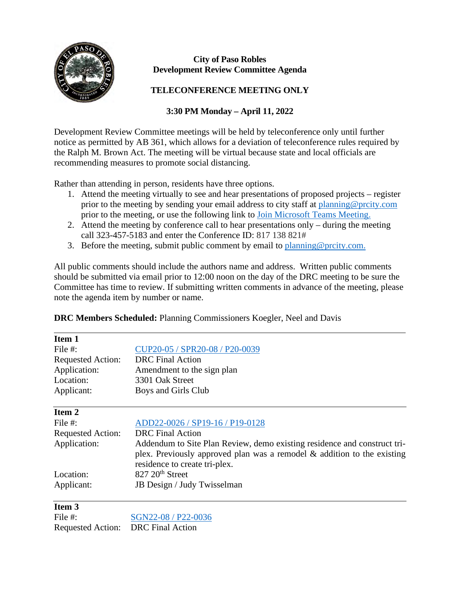

## **City of Paso Robles Development Review Committee Agenda**

## **TELECONFERENCE MEETING ONLY**

## **3:30 PM Monday – April 11, 2022**

Development Review Committee meetings will be held by teleconference only until further notice as permitted by AB 361, which allows for a deviation of teleconference rules required by the Ralph M. Brown Act. The meeting will be virtual because state and local officials are recommending measures to promote social distancing.

Rather than attending in person, residents have three options.

- 1. Attend the meeting virtually to see and hear presentations of proposed projects register prior to the meeting by sending your email address to city staff at [planning@prcity.com](mailto:planning@prcity.com) prior to the meeting, or use the following link to [Join Microsoft Teams Meeting.](https://teams.microsoft.com/l/meetup-join/19%3ameeting_YzgwZDU2MTItMjA2NC00YzhkLWFhZTMtNDM2ZTEzYmE3ZmNm%40thread.v2/0?context=%7b%22Tid%22%3a%221a5b5698-d524-42f2-abba-fb4615f7b1d6%22%2c%22Oid%22%3a%2266ba4e2a-3671-4e72-9d7a-eef3135a0aef%22%7d)
- 2. Attend the meeting by conference call to hear presentations only during the meeting call 323-457-5183 and enter the Conference ID: 817 138 821#
- 3. Before the meeting, submit public comment by email to planning @prcity.com.

All public comments should include the authors name and address. Written public comments should be submitted via email prior to 12:00 noon on the day of the DRC meeting to be sure the Committee has time to review. If submitting written comments in advance of the meeting, please note the agenda item by number or name.

| <b>DRC Members Scheduled: Planning Commissioners Koegler, Neel and Davis</b> |  |  |  |
|------------------------------------------------------------------------------|--|--|--|
|------------------------------------------------------------------------------|--|--|--|

| Item 1                   |                                                                            |  |  |
|--------------------------|----------------------------------------------------------------------------|--|--|
| File #:                  | CUP20-05 / SPR20-08 / P20-0039                                             |  |  |
| <b>Requested Action:</b> | <b>DRC</b> Final Action                                                    |  |  |
| Application:             | Amendment to the sign plan                                                 |  |  |
| Location:                | 3301 Oak Street                                                            |  |  |
| Applicant:               | Boys and Girls Club                                                        |  |  |
| Item 2                   |                                                                            |  |  |
| File #:                  | ADD22-0026 / SP19-16 / P19-0128                                            |  |  |
| <b>Requested Action:</b> | <b>DRC</b> Final Action                                                    |  |  |
| Application:             | Addendum to Site Plan Review, demo existing residence and construct tri-   |  |  |
|                          | plex. Previously approved plan was a remodel $\&$ addition to the existing |  |  |
|                          | residence to create tri-plex.                                              |  |  |
| Location:                | $827 20th$ Street                                                          |  |  |
| Applicant:               | JB Design / Judy Twisselman                                                |  |  |
| Item <sub>3</sub>        |                                                                            |  |  |
| File #:                  | SGN22-08 / P22-0036                                                        |  |  |
| <b>Requested Action:</b> | <b>DRC</b> Final Action                                                    |  |  |